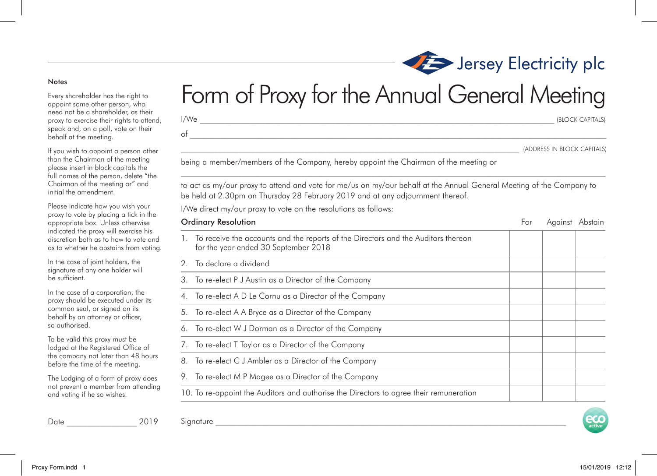## Jersey Electricity plc Form of Proxy for the Annual General Meeting

 $I/W$ e  $($ BLOCK CAPITALS) need not be a shareholder, as their proxy to exercise their rights to attend, speak and, on a poll, vote on their behalf at the meeting.

If you wish to appoint a person other than the Chairman of the meeting please insert in block capitals the full names of the person, delete "the Chairman of the meeting or" and initial the amendment.

Every shareholder has the right to appoint some other person, who

Notes

Please indicate how you wish your proxy to vote by placing a tick in the appropriate box. Unless otherwise indicated the proxy will exercise his discretion both as to how to vote and as to whether he abstains from voting.

In the case of joint holders, the signature of any one holder will be sufficient.

In the case of a corporation, the proxy should be executed under its common seal, or signed on its behalf by an attorney or officer, so authorised.

To be valid this proxy must be lodged at the Registered Office of the company not later than 48 hours before the time of the meeting.

The Lodging of a form of proxy does not prevent a member from attending and voting if he so wishes.

 ${\rm Signature}$ Date \_\_\_\_\_\_\_\_\_\_\_\_\_\_\_\_\_ 2019

|                                                                                                                                                                                                        |     | (ADDRESS IN BLOCK CAPITALS |  |
|--------------------------------------------------------------------------------------------------------------------------------------------------------------------------------------------------------|-----|----------------------------|--|
| being a member/members of the Company, hereby appoint the Chairman of the meeting or                                                                                                                   |     |                            |  |
| to act as my/our proxy to attend and vote for me/us on my/our behalf at the Annual General Meeting of the Company to<br>be held at 2.30pm on Thursday 28 February 2019 and at any adjournment thereof. |     |                            |  |
| I/We direct my/our proxy to vote on the resolutions as follows:                                                                                                                                        |     |                            |  |
| <b>Ordinary Resolution</b>                                                                                                                                                                             | For | Against Abstain            |  |
| 1. To receive the accounts and the reports of the Directors and the Auditors thereon                                                                                                                   |     |                            |  |

|    | To receive the accounts and the reports of the Directors and the Auditors thereon<br>for the year ended 30 September 2018 |  |  |
|----|---------------------------------------------------------------------------------------------------------------------------|--|--|
|    | To declare a dividend                                                                                                     |  |  |
| 3. | To re-elect P J Austin as a Director of the Company                                                                       |  |  |
|    | To re-elect A D Le Cornu as a Director of the Company                                                                     |  |  |
| 5. | To re-elect A A Bryce as a Director of the Company                                                                        |  |  |
| 6. | To re-elect W J Dorman as a Director of the Company                                                                       |  |  |
|    | To re-elect T Taylor as a Director of the Company                                                                         |  |  |
| 8. | To re-elect C J Ambler as a Director of the Company                                                                       |  |  |
| 9. | To re-elect M P Magee as a Director of the Company                                                                        |  |  |
|    | 10. To re-appoint the Auditors and authorise the Directors to agree their remuneration                                    |  |  |
|    |                                                                                                                           |  |  |